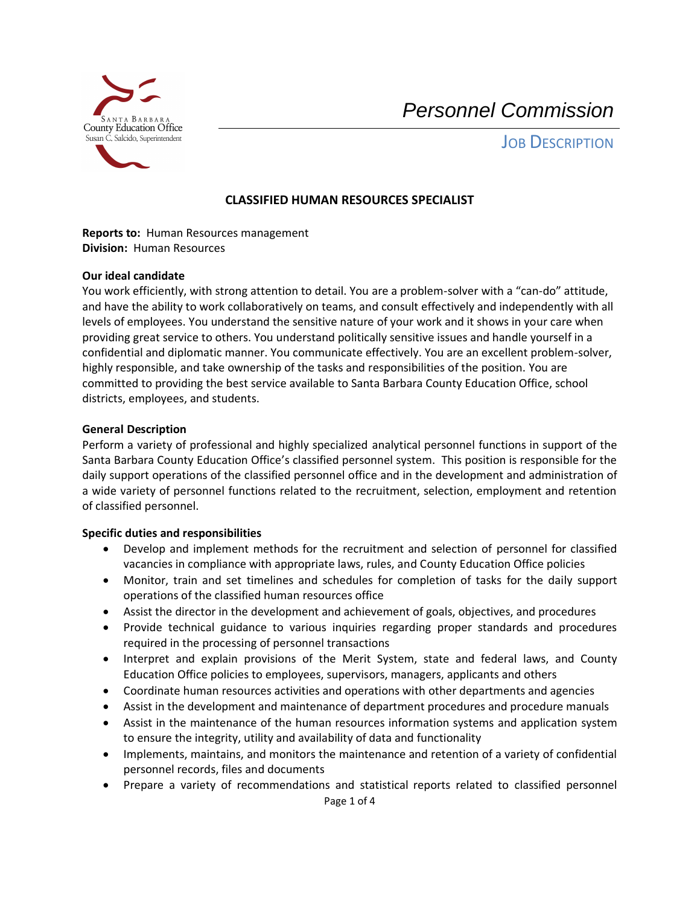

JOB DESCRIPTION

## **CLASSIFIED HUMAN RESOURCES SPECIALIST**

 **Reports to:** Human Resources management  **Division:** Human Resources

#### **Our ideal candidate**

You work efficiently, with strong attention to detail. You are a problem-solver with a "can-do" attitude, and have the ability to work collaboratively on teams, and consult effectively and independently with all levels of employees. You understand the sensitive nature of your work and it shows in your care when providing great service to others. You understand politically sensitive issues and handle yourself in a confidential and diplomatic manner. You communicate effectively. You are an excellent problem-solver, highly responsible, and take ownership of the tasks and responsibilities of the position. You are committed to providing the best service available to Santa Barbara County Education Office, school districts, employees, and students.

#### **General Description**

 Perform a variety of professional and highly specialized analytical personnel functions in support of the Santa Barbara County Education Office's classified personnel system. This position is responsible for the daily support operations of the classified personnel office and in the development and administration of a wide variety of personnel functions related to the recruitment, selection, employment and retention of classified personnel.

## **Specific duties and responsibilities**

- • Develop and implement methods for the recruitment and selection of personnel for classified vacancies in compliance with appropriate laws, rules, and County Education Office policies
- • Monitor, train and set timelines and schedules for completion of tasks for the daily support operations of the classified human resources office
- Assist the director in the development and achievement of goals, objectives, and procedures
- • Provide technical guidance to various inquiries regarding proper standards and procedures required in the processing of personnel transactions
- • Interpret and explain provisions of the Merit System, state and federal laws, and County Education Office policies to employees, supervisors, managers, applicants and others
- Coordinate human resources activities and operations with other departments and agencies
- Assist in the development and maintenance of department procedures and procedure manuals
- • Assist in the maintenance of the human resources information systems and application system to ensure the integrity, utility and availability of data and functionality
- • Implements, maintains, and monitors the maintenance and retention of a variety of confidential personnel records, files and documents
- Prepare a variety of recommendations and statistical reports related to classified personnel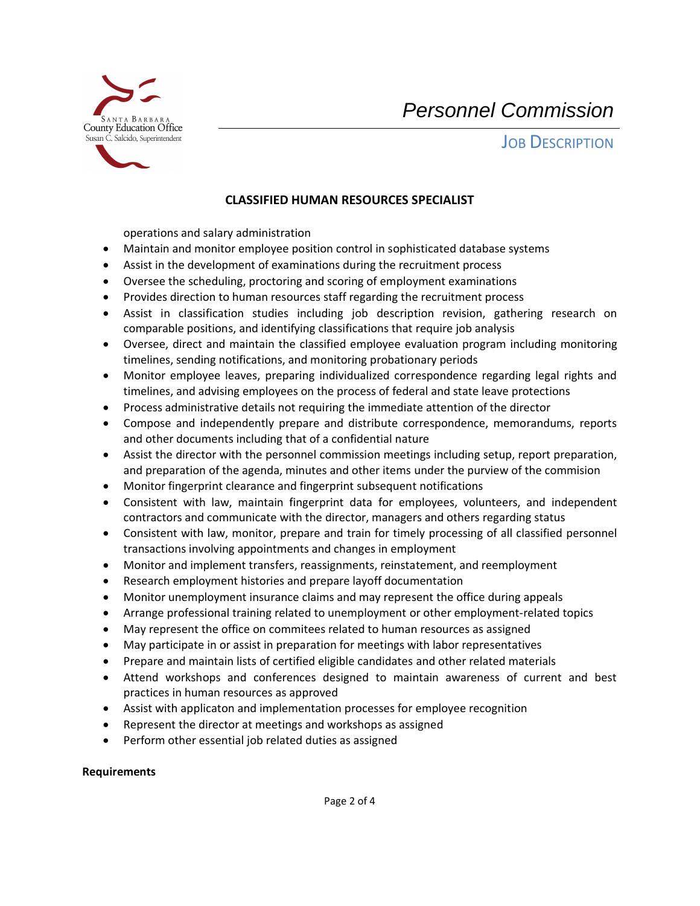

JOB DESCRIPTION

## **CLASSIFIED HUMAN RESOURCES SPECIALIST**

operations and salary administration

- Maintain and monitor employee position control in sophisticated database systems
- Assist in the development of examinations during the recruitment process
- Oversee the scheduling, proctoring and scoring of employment examinations
- Provides direction to human resources staff regarding the recruitment process
- • Assist in classification studies including job description revision, gathering research on comparable positions, and identifying classifications that require job analysis
- Oversee, direct and maintain the classified employee evaluation program including monitoring timelines, sending notifications, and monitoring probationary periods
- • Monitor employee leaves, preparing individualized correspondence regarding legal rights and timelines, and advising employees on the process of federal and state leave protections
- Process administrative details not requiring the immediate attention of the director
- Compose and independently prepare and distribute correspondence, memorandums, reports and other documents including that of a confidential nature
- Assist the director with the personnel commission meetings including setup, report preparation, and preparation of the agenda, minutes and other items under the purview of the commision
- Monitor fingerprint clearance and fingerprint subsequent notifications
- Consistent with law, maintain fingerprint data for employees, volunteers, and independent contractors and communicate with the director, managers and others regarding status
- • Consistent with law, monitor, prepare and train for timely processing of all classified personnel transactions involving appointments and changes in employment
- Monitor and implement transfers, reassignments, reinstatement, and reemployment
- Research employment histories and prepare layoff documentation
- Monitor unemployment insurance claims and may represent the office during appeals
- Arrange professional training related to unemployment or other employment-related topics
- May represent the office on commitees related to human resources as assigned
- May participate in or assist in preparation for meetings with labor representatives
- Prepare and maintain lists of certified eligible candidates and other related materials
- • Attend workshops and conferences designed to maintain awareness of current and best practices in human resources as approved
- Assist with applicaton and implementation processes for employee recognition
- Represent the director at meetings and workshops as assigned
- Perform other essential job related duties as assigned

## **Requirements**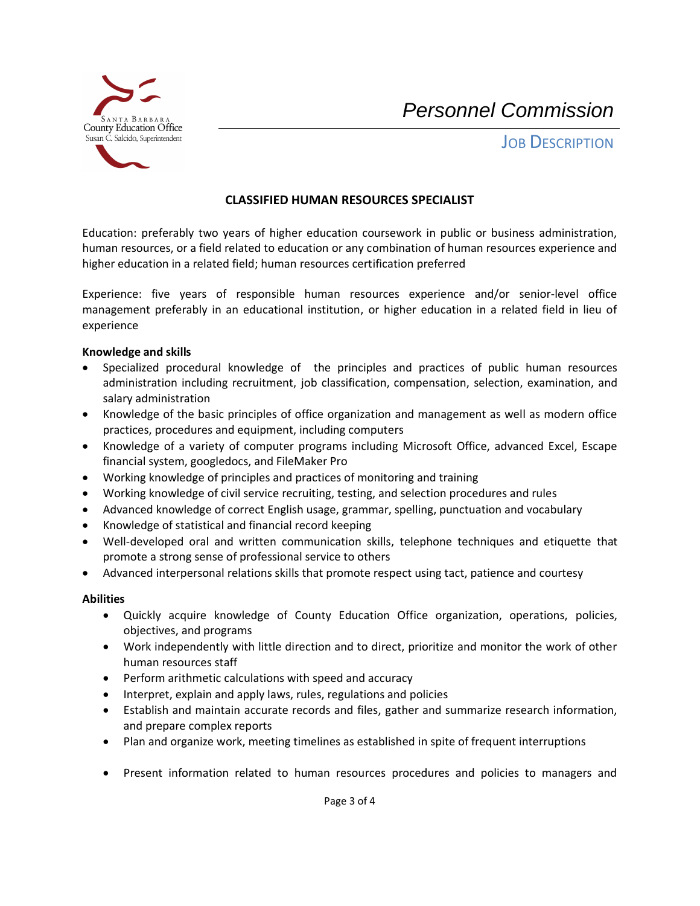

**JOB DESCRIPTION** 

# **CLASSIFIED HUMAN RESOURCES SPECIALIST**

 Education: preferably two years of higher education coursework in public or business administration, human resources, or a field related to education or any combination of human resources experience and higher education in a related field; human resources certification preferred

 management preferably in an educational institution, or higher education in a related field in lieu of Experience: five years of responsible human resources experience and/or senior-level office experience

#### **Knowledge and skills**

- • Specialized procedural knowledge of the principles and practices of public human resources administration including recruitment, job classification, compensation, selection, examination, and salary administration
- • Knowledge of the basic principles of office organization and management as well as modern office practices, procedures and equipment, including computers
- • Knowledge of a variety of computer programs including Microsoft Office, advanced Excel, Escape financial system, googledocs, and FileMaker Pro
- Working knowledge of principles and practices of monitoring and training
- Working knowledge of civil service recruiting, testing, and selection procedures and rules
- Advanced knowledge of correct English usage, grammar, spelling, punctuation and vocabulary
- Knowledge of statistical and financial record keeping
- Well-developed oral and written communication skills, telephone techniques and etiquette that promote a strong sense of professional service to others
- Advanced interpersonal relations skills that promote respect using tact, patience and courtesy

## **Abilities**

- Quickly acquire knowledge of County Education Office organization, operations, policies, objectives, and programs
- • Work independently with little direction and to direct, prioritize and monitor the work of other human resources staff
- Perform arithmetic calculations with speed and accuracy
- Interpret, explain and apply laws, rules, regulations and policies
- • Establish and maintain accurate records and files, gather and summarize research information, and prepare complex reports
- Plan and organize work, meeting timelines as established in spite of frequent interruptions
- Present information related to human resources procedures and policies to managers and